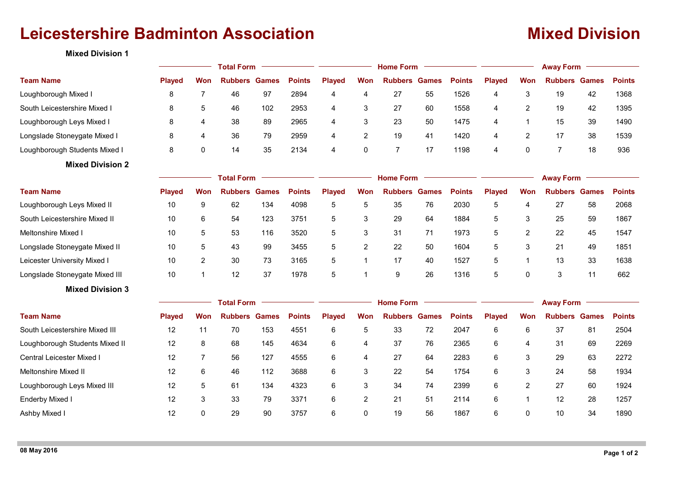# **Leicestershire Badminton Association Mixed Division**

### **Mixed Division 1**

|                                | <b>Total Form</b> |                |                      |              |               |                  | <b>Home Form</b> |                |              | <b>Away Form</b> |                  |                |                      |    |               |  |
|--------------------------------|-------------------|----------------|----------------------|--------------|---------------|------------------|------------------|----------------|--------------|------------------|------------------|----------------|----------------------|----|---------------|--|
| <b>Team Name</b>               | <b>Played</b>     | <b>Won</b>     | <b>Rubbers Games</b> |              | <b>Points</b> | <b>Played</b>    | <b>Won</b>       | <b>Rubbers</b> | <b>Games</b> | <b>Points</b>    | <b>Played</b>    | Won            | <b>Rubbers Games</b> |    | <b>Points</b> |  |
| Loughborough Mixed I           | 8                 | 7              | 46                   | 97           | 2894          | 4                | 4                | 27             | 55           | 1526             | 4                | 3              | 19                   | 42 | 1368          |  |
| South Leicestershire Mixed I   | 8                 | 5              | 46                   | 102          | 2953          | 4                | 3                | 27             | 60           | 1558             | 4                | $\overline{2}$ | 19                   | 42 | 1395          |  |
| Loughborough Leys Mixed I      | 8                 | 4              | 38                   | 89           | 2965          | 4                | 3                | 23             | 50           | 1475             | 4                | $\mathbf{1}$   | 15                   | 39 | 1490          |  |
| Longslade Stoneygate Mixed I   | 8                 | 4              | 36                   | 79           | 2959          | 4                | $\overline{c}$   | 19             | 41           | 1420             | $\overline{4}$   | 2              | 17                   | 38 | 1539          |  |
| Loughborough Students Mixed I  | 8                 | 0              | 14                   | 35           | 2134          | $\overline{4}$   | 0                | $\overline{7}$ | 17           | 1198             | $\overline{4}$   | 0              | $\overline{7}$       | 18 | 936           |  |
| <b>Mixed Division 2</b>        |                   |                |                      |              |               |                  |                  |                |              |                  |                  |                |                      |    |               |  |
|                                | <b>Total Form</b> |                |                      |              |               |                  | <b>Home Form</b> |                |              | <b>Away Form</b> |                  |                |                      |    |               |  |
| <b>Team Name</b>               | <b>Played</b>     | <b>Won</b>     | <b>Rubbers</b>       | <b>Games</b> | <b>Points</b> | <b>Played</b>    | <b>Won</b>       | <b>Rubbers</b> | <b>Games</b> | <b>Points</b>    | <b>Played</b>    | <b>Won</b>     | <b>Rubbers Games</b> |    | <b>Points</b> |  |
| Loughborough Leys Mixed II     | 10                | 9              | 62                   | 134          | 4098          | 5                | 5                | 35             | 76           | 2030             | 5                | 4              | 27                   | 58 | 2068          |  |
| South Leicestershire Mixed II  | 10                | 6              | 54                   | 123          | 3751          | $\sqrt{5}$       | 3                | 29             | 64           | 1884             | 5                | 3              | 25                   | 59 | 1867          |  |
| Meltonshire Mixed I            | 10                | 5              | 53                   | 116          | 3520          | 5                | 3                | 31             | 71           | 1973             | 5                | $\overline{2}$ | 22                   | 45 | 1547          |  |
| Longslade Stoneygate Mixed II  | 10                | 5              | 43                   | 99           | 3455          | 5                | 2                | 22             | 50           | 1604             | 5                | 3              | 21                   | 49 | 1851          |  |
| Leicester University Mixed I   | 10                | 2              | 30                   | 73           | 3165          | 5                | $\mathbf{1}$     | 17             | 40           | 1527             | 5                | $\mathbf{1}$   | 13                   | 33 | 1638          |  |
| Longslade Stoneygate Mixed III | 10                | $\mathbf 1$    | 12                   | 37           | 1978          | 5                | 1                | 9              | 26           | 1316             | 5                | 0              | 3                    | 11 | 662           |  |
| <b>Mixed Division 3</b>        |                   |                |                      |              |               |                  |                  |                |              |                  |                  |                |                      |    |               |  |
|                                | <b>Total Form</b> |                |                      |              |               | <b>Home Form</b> |                  |                |              |                  | <b>Away Form</b> |                |                      |    |               |  |
| <b>Team Name</b>               | <b>Played</b>     | <b>Won</b>     | <b>Rubbers Games</b> |              | <b>Points</b> | <b>Played</b>    | <b>Won</b>       | <b>Rubbers</b> | <b>Games</b> | <b>Points</b>    | <b>Played</b>    | <b>Won</b>     | <b>Rubbers Games</b> |    | <b>Points</b> |  |
| South Leicestershire Mixed III | 12                | 11             | 70                   | 153          | 4551          | 6                | 5                | 33             | 72           | 2047             | 6                | 6              | 37                   | 81 | 2504          |  |
| Loughborough Students Mixed II | 12                | 8              | 68                   | 145          | 4634          | 6                | 4                | 37             | 76           | 2365             | 6                | 4              | 31                   | 69 | 2269          |  |
| Central Leicester Mixed I      | 12                | $\overline{7}$ | 56                   | 127          | 4555          | 6                | 4                | 27             | 64           | 2283             | 6                | 3              | 29                   | 63 | 2272          |  |
| Meltonshire Mixed II           | 12                | 6              | 46                   | 112          | 3688          | 6                | 3                | 22             | 54           | 1754             | 6                | 3              | 24                   | 58 | 1934          |  |
| Loughborough Leys Mixed III    | 12                | 5              | 61                   | 134          | 4323          | 6                | 3                | 34             | 74           | 2399             | 6                | $\overline{2}$ | 27                   | 60 | 1924          |  |
| Enderby Mixed I                | 12                | 3              | 33                   | 79           | 3371          | 6                | $\overline{c}$   | 21             | 51           | 2114             | 6                | $\mathbf{1}$   | 12                   | 28 | 1257          |  |
| Ashby Mixed I                  | 12                | 0              | 29                   | 90           | 3757          | 6                | $\Omega$         | 19             | 56           | 1867             | 6                | $\Omega$       | 10                   | 34 | 1890          |  |